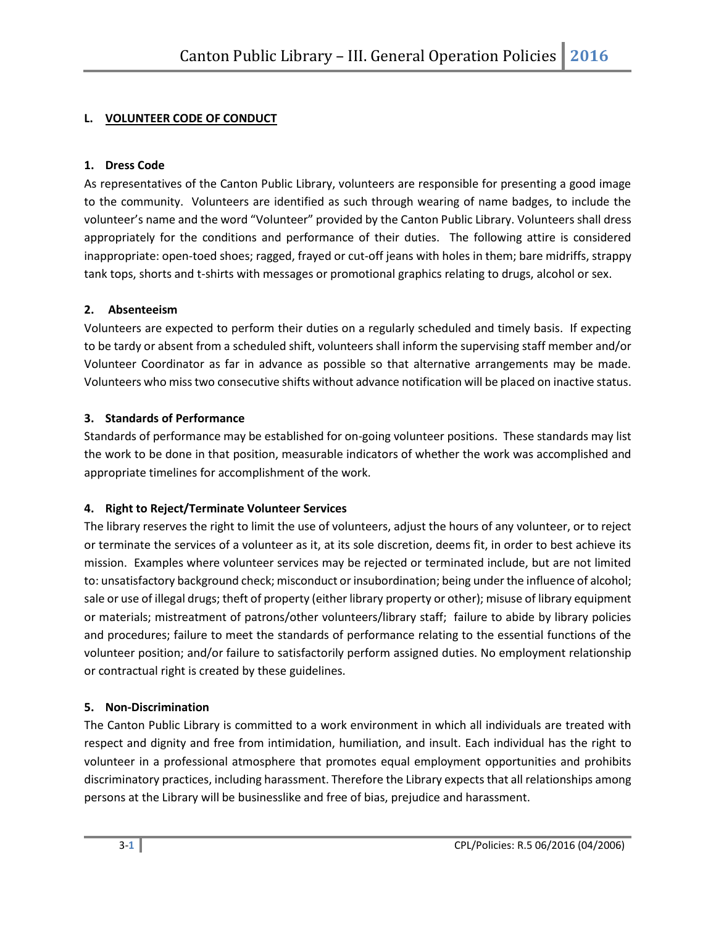# **L. VOLUNTEER CODE OF CONDUCT**

## **1. Dress Code**

As representatives of the Canton Public Library, volunteers are responsible for presenting a good image to the community. Volunteers are identified as such through wearing of name badges, to include the volunteer's name and the word "Volunteer" provided by the Canton Public Library. Volunteers shall dress appropriately for the conditions and performance of their duties. The following attire is considered inappropriate: open-toed shoes; ragged, frayed or cut-off jeans with holes in them; bare midriffs, strappy tank tops, shorts and t-shirts with messages or promotional graphics relating to drugs, alcohol or sex.

## **2. Absenteeism**

Volunteers are expected to perform their duties on a regularly scheduled and timely basis. If expecting to be tardy or absent from a scheduled shift, volunteers shall inform the supervising staff member and/or Volunteer Coordinator as far in advance as possible so that alternative arrangements may be made. Volunteers who miss two consecutive shifts without advance notification will be placed on inactive status.

## **3. Standards of Performance**

Standards of performance may be established for on-going volunteer positions. These standards may list the work to be done in that position, measurable indicators of whether the work was accomplished and appropriate timelines for accomplishment of the work.

# **4. Right to Reject/Terminate Volunteer Services**

The library reserves the right to limit the use of volunteers, adjust the hours of any volunteer, or to reject or terminate the services of a volunteer as it, at its sole discretion, deems fit, in order to best achieve its mission. Examples where volunteer services may be rejected or terminated include, but are not limited to: unsatisfactory background check; misconduct or insubordination; being under the influence of alcohol; sale or use of illegal drugs; theft of property (either library property or other); misuse of library equipment or materials; mistreatment of patrons/other volunteers/library staff; failure to abide by library policies and procedures; failure to meet the standards of performance relating to the essential functions of the volunteer position; and/or failure to satisfactorily perform assigned duties. No employment relationship or contractual right is created by these guidelines.

## **5. Non-Discrimination**

The Canton Public Library is committed to a work environment in which all individuals are treated with respect and dignity and free from intimidation, humiliation, and insult. Each individual has the right to volunteer in a professional atmosphere that promotes equal employment opportunities and prohibits discriminatory practices, including harassment. Therefore the Library expects that all relationships among persons at the Library will be businesslike and free of bias, prejudice and harassment.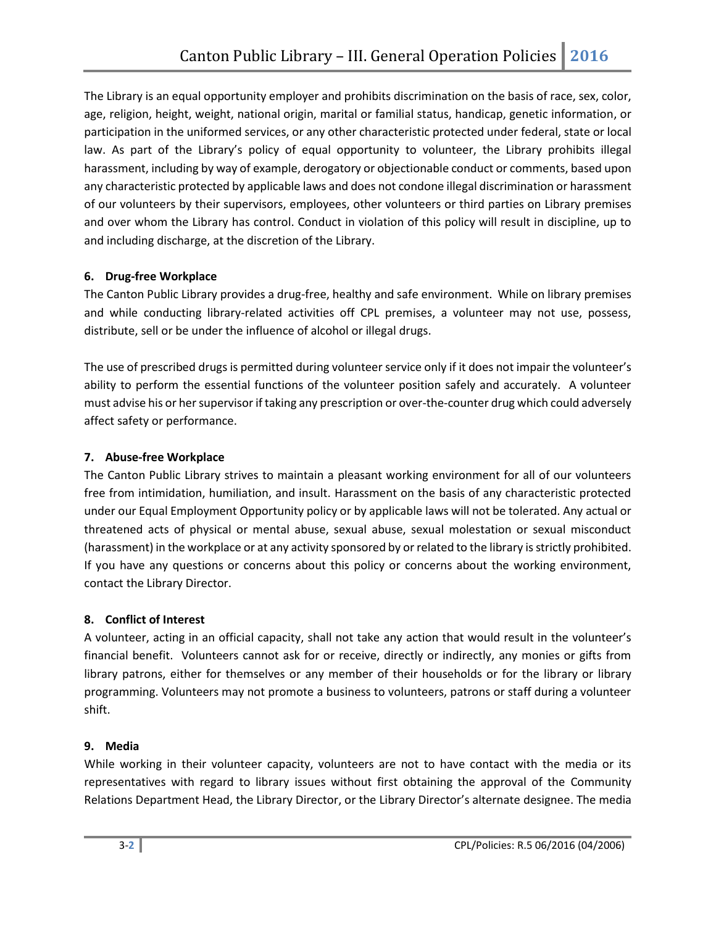The Library is an equal opportunity employer and prohibits discrimination on the basis of race, sex, color, age, religion, height, weight, national origin, marital or familial status, handicap, genetic information, or participation in the uniformed services, or any other characteristic protected under federal, state or local law. As part of the Library's policy of equal opportunity to volunteer, the Library prohibits illegal harassment, including by way of example, derogatory or objectionable conduct or comments, based upon any characteristic protected by applicable laws and does not condone illegal discrimination or harassment of our volunteers by their supervisors, employees, other volunteers or third parties on Library premises and over whom the Library has control. Conduct in violation of this policy will result in discipline, up to and including discharge, at the discretion of the Library.

## **6. Drug-free Workplace**

The Canton Public Library provides a drug-free, healthy and safe environment. While on library premises and while conducting library-related activities off CPL premises, a volunteer may not use, possess, distribute, sell or be under the influence of alcohol or illegal drugs.

The use of prescribed drugs is permitted during volunteer service only if it does not impair the volunteer's ability to perform the essential functions of the volunteer position safely and accurately. A volunteer must advise his or her supervisor if taking any prescription or over-the-counter drug which could adversely affect safety or performance.

# **7. Abuse-free Workplace**

The Canton Public Library strives to maintain a pleasant working environment for all of our volunteers free from intimidation, humiliation, and insult. Harassment on the basis of any characteristic protected under our Equal Employment Opportunity policy or by applicable laws will not be tolerated. Any actual or threatened acts of physical or mental abuse, sexual abuse, sexual molestation or sexual misconduct (harassment) in the workplace or at any activity sponsored by or related to the library is strictly prohibited. If you have any questions or concerns about this policy or concerns about the working environment, contact the Library Director.

## **8. Conflict of Interest**

A volunteer, acting in an official capacity, shall not take any action that would result in the volunteer's financial benefit. Volunteers cannot ask for or receive, directly or indirectly, any monies or gifts from library patrons, either for themselves or any member of their households or for the library or library programming. Volunteers may not promote a business to volunteers, patrons or staff during a volunteer shift.

## **9. Media**

While working in their volunteer capacity, volunteers are not to have contact with the media or its representatives with regard to library issues without first obtaining the approval of the Community Relations Department Head, the Library Director, or the Library Director's alternate designee. The media